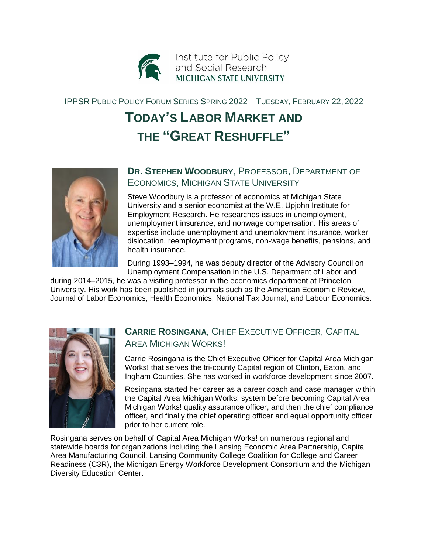

IPPSR PUBLIC POLICY FORUM SERIES SPRING 2022 – TUESDAY, FEBRUARY 22, 2022

# **TODAY'S LABOR MARKET AND THE "GREAT RESHUFFLE"**



#### **DR. STEPHEN WOODBURY**, PROFESSOR, DEPARTMENT OF ECONOMICS, MICHIGAN STATE UNIVERSITY

Steve Woodbury is a professor of economics at Michigan State University and a senior economist at the W.E. Upjohn Institute for Employment Research. He researches issues in unemployment, unemployment insurance, and nonwage compensation. His areas of expertise include unemployment and unemployment insurance, worker dislocation, reemployment programs, non-wage benefits, pensions, and health insurance.

During 1993–1994, he was deputy director of the Advisory Council on Unemployment Compensation in the U.S. Department of Labor and

during 2014–2015, he was a visiting professor in the economics department at Princeton University. His work has been published in journals such as the American Economic Review, Journal of Labor Economics, Health Economics, National Tax Journal, and Labour Economics.



## **CARRIE ROSINGANA**, CHIEF EXECUTIVE OFFICER, CAPITAL AREA MICHIGAN WORKS!

Carrie Rosingana is the Chief Executive Officer for Capital Area Michigan Works! that serves the tri-county Capital region of Clinton, Eaton, and Ingham Counties. She has worked in workforce development since 2007.

Rosingana started her career as a career coach and case manager within the Capital Area Michigan Works! system before becoming Capital Area Michigan Works! quality assurance officer, and then the chief compliance officer, and finally the chief operating officer and equal opportunity officer prior to her current role.

Rosingana serves on behalf of Capital Area Michigan Works! on numerous regional and statewide boards for organizations including the Lansing Economic Area Partnership, Capital Area Manufacturing Council, Lansing Community College Coalition for College and Career Readiness (C3R), the Michigan Energy Workforce Development Consortium and the Michigan Diversity Education Center.